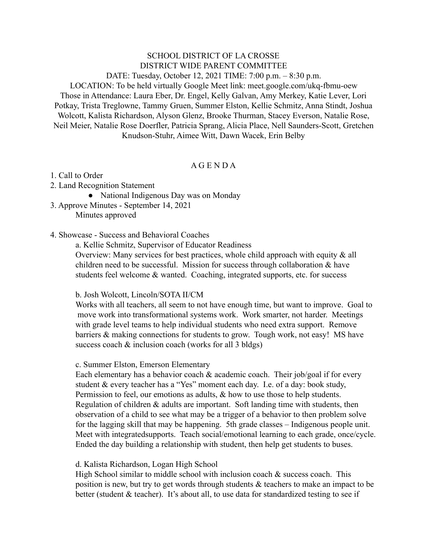SCHOOL DISTRICT OF LA CROSSE DISTRICT WIDE PARENT COMMITTEE DATE: Tuesday, October 12, 2021 TIME: 7:00 p.m. – 8:30 p.m. LOCATION: To be held virtually Google Meet link: meet.google.com/ukq-fbmu-oew Those in Attendance: Laura Eber, Dr. Engel, Kelly Galvan, Amy Merkey, Katie Lever, Lori Potkay, Trista Treglowne, Tammy Gruen, Summer Elston, Kellie Schmitz, Anna Stindt, Joshua Wolcott, Kalista Richardson, Alyson Glenz, Brooke Thurman, Stacey Everson, Natalie Rose, Neil Meier, Natalie Rose Doerfler, Patricia Sprang, Alicia Place, Nell Saunders-Scott, Gretchen Knudson-Stuhr, Aimee Witt, Dawn Wacek, Erin Belby

## A G E N D A

- 1. Call to Order
- 2. Land Recognition Statement
	- National Indigenous Day was on Monday
- 3. Approve Minutes September 14, 2021 Minutes approved
- 4. Showcase Success and Behavioral Coaches

a. Kellie Schmitz, Supervisor of Educator Readiness Overview: Many services for best practices, whole child approach with equity  $\&$  all children need to be successful. Mission for success through collaboration  $\&$  have students feel welcome & wanted. Coaching, integrated supports, etc. for success

### b. Josh Wolcott, Lincoln/SOTA II/CM

Works with all teachers, all seem to not have enough time, but want to improve. Goal to move work into transformational systems work. Work smarter, not harder. Meetings with grade level teams to help individual students who need extra support. Remove barriers & making connections for students to grow. Tough work, not easy! MS have success coach  $&$  inclusion coach (works for all 3 bldgs)

### c. Summer Elston, Emerson Elementary

Each elementary has a behavior coach & academic coach. Their job/goal if for every student & every teacher has a "Yes" moment each day. I.e. of a day: book study, Permission to feel, our emotions as adults, & how to use those to help students. Regulation of children & adults are important. Soft landing time with students, then observation of a child to see what may be a trigger of a behavior to then problem solve for the lagging skill that may be happening. 5th grade classes – Indigenous people unit. Meet with integratedsupports. Teach social/emotional learning to each grade, once/cycle. Ended the day building a relationship with student, then help get students to buses.

### d. Kalista Richardson, Logan High School

High School similar to middle school with inclusion coach  $\&$  success coach. This position is new, but try to get words through students & teachers to make an impact to be better (student & teacher). It's about all, to use data for standardized testing to see if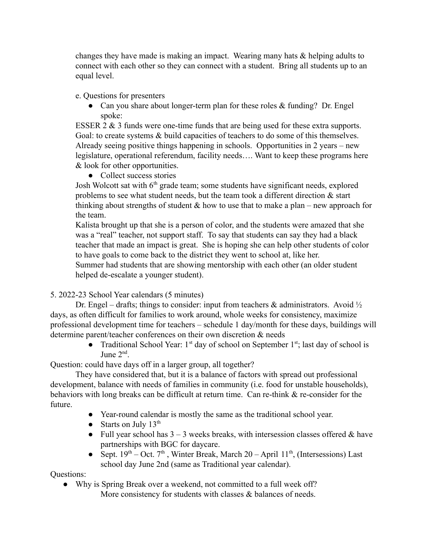changes they have made is making an impact. Wearing many hats & helping adults to connect with each other so they can connect with a student. Bring all students up to an equal level.

e. Questions for presenters

• Can you share about longer-term plan for these roles  $&$  funding? Dr. Engel spoke:

ESSER 2 & 3 funds were one-time funds that are being used for these extra supports. Goal: to create systems  $\&$  build capacities of teachers to do some of this themselves. Already seeing positive things happening in schools. Opportunities in 2 years – new legislature, operational referendum, facility needs…. Want to keep these programs here & look for other opportunities.

● Collect success stories

Josh Wolcott sat with  $6<sup>th</sup>$  grade team; some students have significant needs, explored problems to see what student needs, but the team took a different direction  $\&$  start thinking about strengths of student  $\&$  how to use that to make a plan – new approach for the team.

Kalista brought up that she is a person of color, and the students were amazed that she was a "real" teacher, not support staff. To say that students can say they had a black teacher that made an impact is great. She is hoping she can help other students of color to have goals to come back to the district they went to school at, like her.

Summer had students that are showing mentorship with each other (an older student helped de-escalate a younger student).

5. 2022-23 School Year calendars (5 minutes)

Dr. Engel – drafts; things to consider: input from teachers  $\&$  administrators. Avoid  $\frac{1}{2}$ days, as often difficult for families to work around, whole weeks for consistency, maximize professional development time for teachers – schedule 1 day/month for these days, buildings will determine parent/teacher conferences on their own discretion & needs

• Traditional School Year:  $1<sup>st</sup>$  day of school on September  $1<sup>st</sup>$ ; last day of school is June  $2<sup>nd</sup>$ .

Question: could have days off in a larger group, all together?

They have considered that, but it is a balance of factors with spread out professional development, balance with needs of families in community (i.e. food for unstable households), behaviors with long breaks can be difficult at return time. Can re-think & re-consider for the future.

- Year-round calendar is mostly the same as the traditional school year.
- Starts on July  $13<sup>th</sup>$
- Full year school has  $3 3$  weeks breaks, with intersession classes offered  $\&$  have partnerships with BGC for daycare.
- Sept.  $19^{th}$  Oct.  $7^{th}$ , Winter Break, March 20 April  $11^{th}$ , (Intersessions) Last school day June 2nd (same as Traditional year calendar).

Questions:

• Why is Spring Break over a weekend, not committed to a full week off? More consistency for students with classes  $\&$  balances of needs.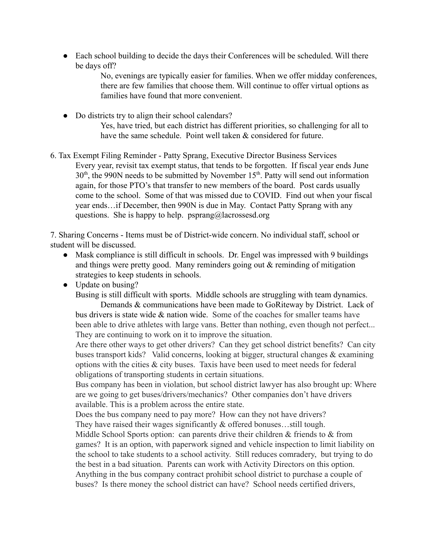• Each school building to decide the days their Conferences will be scheduled. Will there be days off?

> No, evenings are typically easier for families. When we offer midday conferences, there are few families that choose them. Will continue to offer virtual options as families have found that more convenient.

- Do districts try to align their school calendars? Yes, have tried, but each district has different priorities, so challenging for all to have the same schedule. Point well taken & considered for future.
- 6. Tax Exempt Filing Reminder Patty Sprang, Executive Director Business Services Every year, revisit tax exempt status, that tends to be forgotten. If fiscal year ends June  $30<sup>th</sup>$ , the 990N needs to be submitted by November 15<sup>th</sup>. Patty will send out information again, for those PTO's that transfer to new members of the board. Post cards usually come to the school. Some of that was missed due to COVID. Find out when your fiscal year ends…if December, then 990N is due in May. Contact Patty Sprang with any questions. She is happy to help. psprang@lacrossesd.org

7. Sharing Concerns - Items must be of District-wide concern. No individual staff, school or student will be discussed.

- Mask compliance is still difficult in schools. Dr. Engel was impressed with 9 buildings and things were pretty good. Many reminders going out & reminding of mitigation strategies to keep students in schools.
- Update on busing?

Busing is still difficult with sports. Middle schools are struggling with team dynamics.

Demands & communications have been made to GoRiteway by District. Lack of bus drivers is state wide  $\&$  nation wide. Some of the coaches for smaller teams have been able to drive athletes with large vans. Better than nothing, even though not perfect... They are continuing to work on it to improve the situation.

Are there other ways to get other drivers? Can they get school district benefits? Can city buses transport kids? Valid concerns, looking at bigger, structural changes  $\&$  examining options with the cities  $&$  city buses. Taxis have been used to meet needs for federal obligations of transporting students in certain situations.

Bus company has been in violation, but school district lawyer has also brought up: Where are we going to get buses/drivers/mechanics? Other companies don't have drivers available. This is a problem across the entire state.

Does the bus company need to pay more? How can they not have drivers? They have raised their wages significantly & offered bonuses...still tough.

Middle School Sports option: can parents drive their children  $\&$  friends to  $\&$  from games? It is an option, with paperwork signed and vehicle inspection to limit liability on the school to take students to a school activity. Still reduces comradery, but trying to do the best in a bad situation. Parents can work with Activity Directors on this option. Anything in the bus company contract prohibit school district to purchase a couple of buses? Is there money the school district can have? School needs certified drivers,